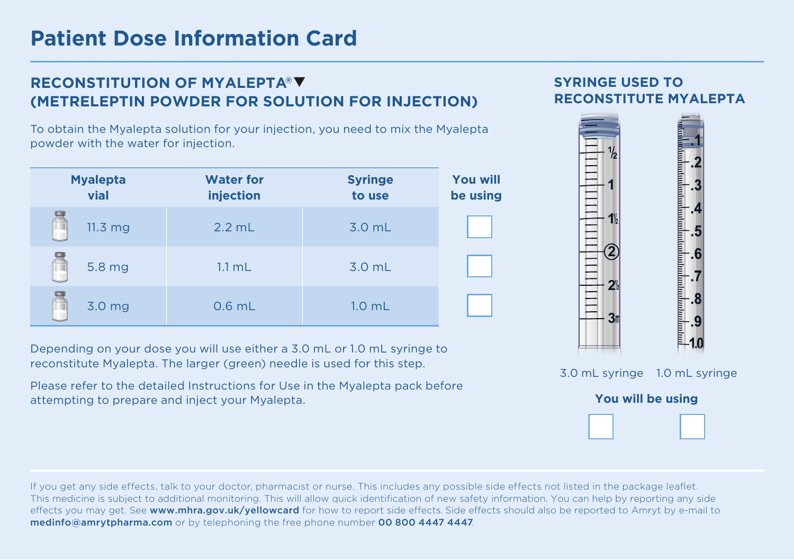## **RECONSTITUTION OF MYALEPTA® (METRELEPTIN POWDER FOR SOLUTION FOR INJECTION)**

To obtain the Myalepta solution for your injection, you need to mix the Myalepta powder with the water for injection.

| <b>Myalepta</b><br>vial | <b>Water for</b><br>injection | <b>Syringe</b><br>to use | <b>You will</b><br>be using |
|-------------------------|-------------------------------|--------------------------|-----------------------------|
| 11.3 <sub>mg</sub>      | $2.2$ mL                      | 3.0 mL                   |                             |
| 5.8 mg                  | $1.1$ mL                      | 3.0 mL                   |                             |
| 3.0 mg                  | $0.6$ mL                      | 1.0 <sub>mL</sub>        |                             |

Depending on your dose you will use either a 3.0 mL or 1.0 mL syringe to reconstitute Myalepta. The larger (green) needle is used for this step.

Please refer to the detailed Instructions for Use in the Myalepta pack before attempting to prepare and inject your Myalepta.

**SYRINGE USED TO** 

**RECONSTITUTE MYALEPTA**



If you get any side effects, talk to your doctor, pharmacist or nurse. This includes any possible side effects not listed in the package leaflet. This medicine is subject to additional monitoring. This will allow quick identification of new safety information. You can help by reporting any side effects you may get. See www.mhra.gov.uk/yellowcard for how to report side effects. Side effects should also be reported to Amryt by e-mail to medinfo@amrytpharma.com or by telephoning the free phone number 00 800 4447 4447.